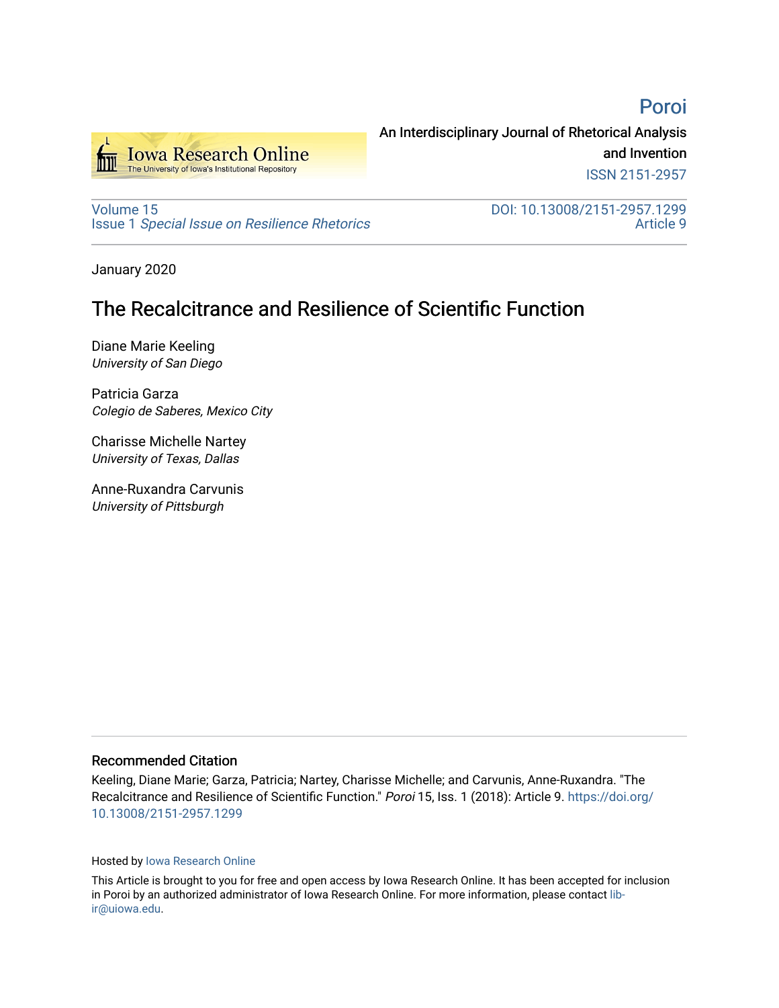[Poroi](https://ir.uiowa.edu/poroi) 



An Interdisciplinary Journal of Rhetorical Analysis and Invention ISSN 2151-2957

[Volume 15](https://ir.uiowa.edu/poroi/vol15) Issue 1 [Special Issue on Resilience Rhetorics](https://ir.uiowa.edu/poroi/vol15/iss1)  DOI: 10.13008/2151-2957.1299 [Article 9](https://ir.uiowa.edu/poroi/vol15/iss1/9) 

January 2020

# The Recalcitrance and Resilience of Scientific Function

Diane Marie Keeling University of San Diego

Patricia Garza Colegio de Saberes, Mexico City

Charisse Michelle Nartey University of Texas, Dallas

Anne-Ruxandra Carvunis University of Pittsburgh

#### Recommended Citation

Keeling, Diane Marie; Garza, Patricia; Nartey, Charisse Michelle; and Carvunis, Anne-Ruxandra. "The Recalcitrance and Resilience of Scientific Function." Poroi 15, Iss. 1 (2018): Article 9. [https://doi.org/](https://doi.org/10.13008/2151-2957.1299) [10.13008/2151-2957.1299](https://doi.org/10.13008/2151-2957.1299) 

#### Hosted by [Iowa Research Online](https://ir.uiowa.edu/)

This Article is brought to you for free and open access by Iowa Research Online. It has been accepted for inclusion in Poroi by an authorized administrator of Iowa Research Online. For more information, please contact [lib](mailto:lib-ir@uiowa.edu)[ir@uiowa.edu](mailto:lib-ir@uiowa.edu).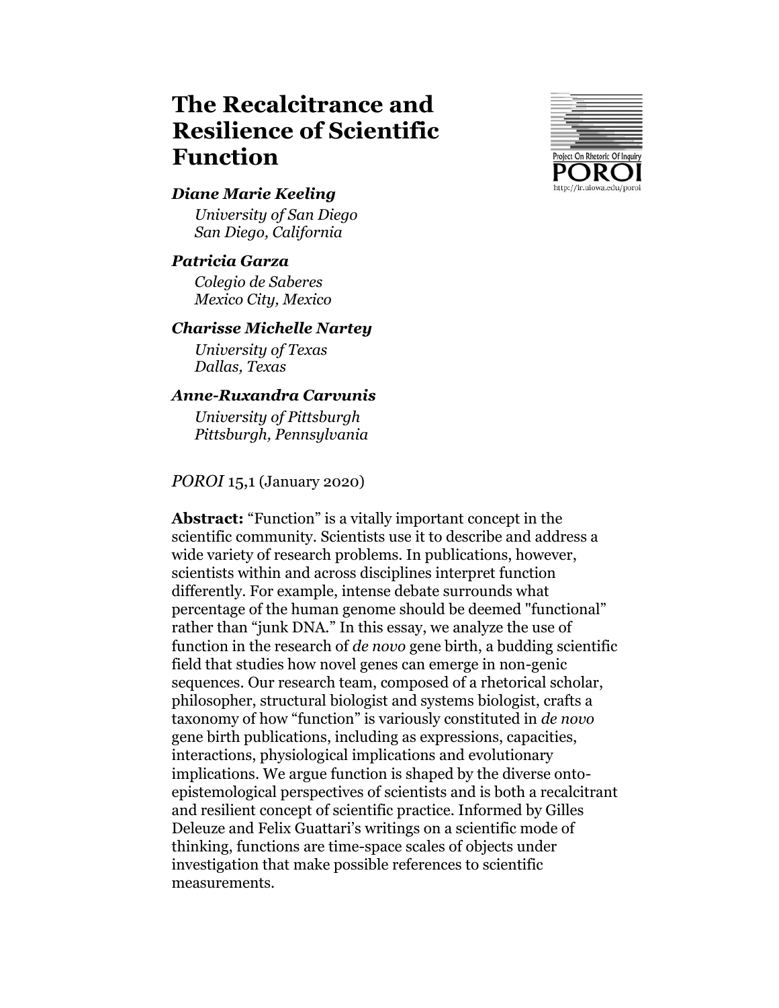# **The Recalcitrance and Resilience of Scientific Function**



#### *Diane Marie Keeling*

*University of San Diego San Diego, California*

#### *Patricia Garza*

*Colegio de Saberes Mexico City, Mexico*

#### *Charisse Michelle Nartey*

*University of Texas Dallas, Texas*

#### *Anne-Ruxandra Carvunis*

*University of Pittsburgh Pittsburgh, Pennsylvania*

#### *POROI* 15,1 (January 2020)

**Abstract:** "Function" is a vitally important concept in the scientific community. Scientists use it to describe and address a wide variety of research problems. In publications, however, scientists within and across disciplines interpret function differently. For example, intense debate surrounds what percentage of the human genome should be deemed "functional" rather than "junk DNA." In this essay, we analyze the use of function in the research of *de novo* gene birth, a budding scientific field that studies how novel genes can emerge in non-genic sequences. Our research team, composed of a rhetorical scholar, philosopher, structural biologist and systems biologist, crafts a taxonomy of how "function" is variously constituted in *de novo* gene birth publications, including as expressions, capacities, interactions, physiological implications and evolutionary implications. We argue function is shaped by the diverse ontoepistemological perspectives of scientists and is both a recalcitrant and resilient concept of scientific practice. Informed by Gilles Deleuze and Felix Guattari's writings on a scientific mode of thinking, functions are time-space scales of objects under investigation that make possible references to scientific measurements.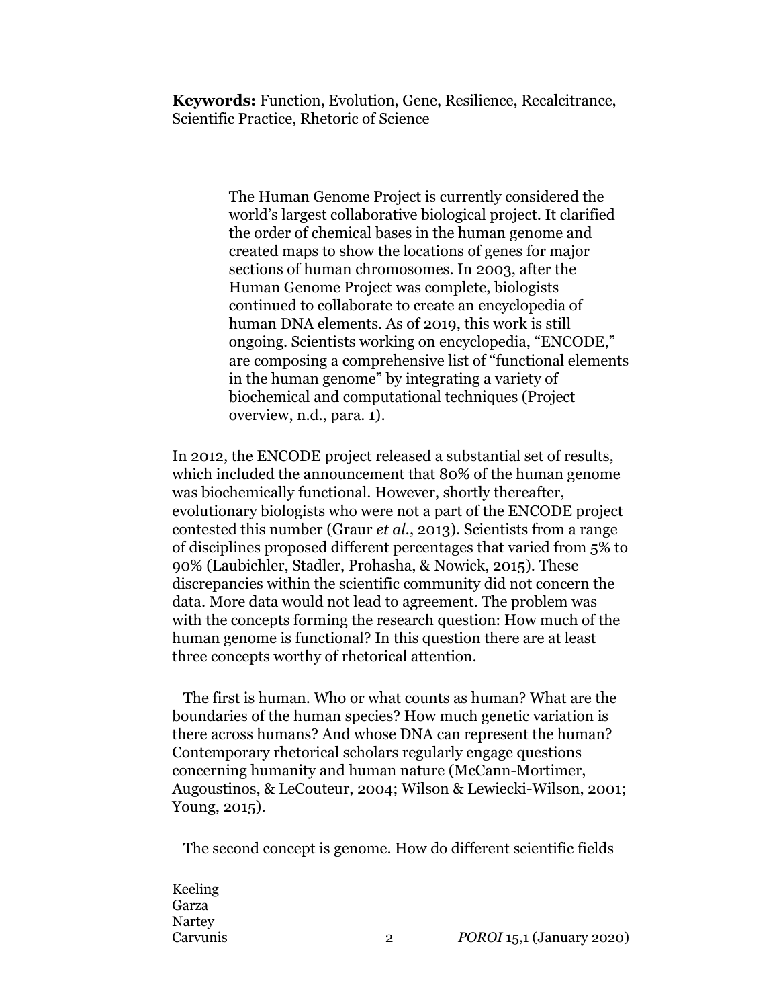**Keywords:** Function, Evolution, Gene, Resilience, Recalcitrance, Scientific Practice, Rhetoric of Science

> The Human Genome Project is currently considered the world's largest collaborative biological project. It clarified the order of chemical bases in the human genome and created maps to show the locations of genes for major sections of human chromosomes. In 2003, after the Human Genome Project was complete, biologists continued to collaborate to create an encyclopedia of human DNA elements. As of 2019, this work is still ongoing. Scientists working on encyclopedia, "ENCODE," are composing a comprehensive list of "functional elements in the human genome" by integrating a variety of biochemical and computational techniques (Project overview, n.d., para. 1).

In 2012, the ENCODE project released a substantial set of results, which included the announcement that 80% of the human genome was biochemically functional. However, shortly thereafter, evolutionary biologists who were not a part of the ENCODE project contested this number (Graur *et al.*, 2013). Scientists from a range of disciplines proposed different percentages that varied from 5% to 90% (Laubichler, Stadler, Prohasha, & Nowick, 2015). These discrepancies within the scientific community did not concern the data. More data would not lead to agreement. The problem was with the concepts forming the research question: How much of the human genome is functional? In this question there are at least three concepts worthy of rhetorical attention.

The first is human. Who or what counts as human? What are the boundaries of the human species? How much genetic variation is there across humans? And whose DNA can represent the human? Contemporary rhetorical scholars regularly engage questions concerning humanity and human nature (McCann-Mortimer, Augoustinos, & LeCouteur, 2004; Wilson & Lewiecki-Wilson, 2001; Young, 2015).

The second concept is genome. How do different scientific fields

Keeling Garza Nartey Carvunis 2 *POROI* 15,1 (January 2020)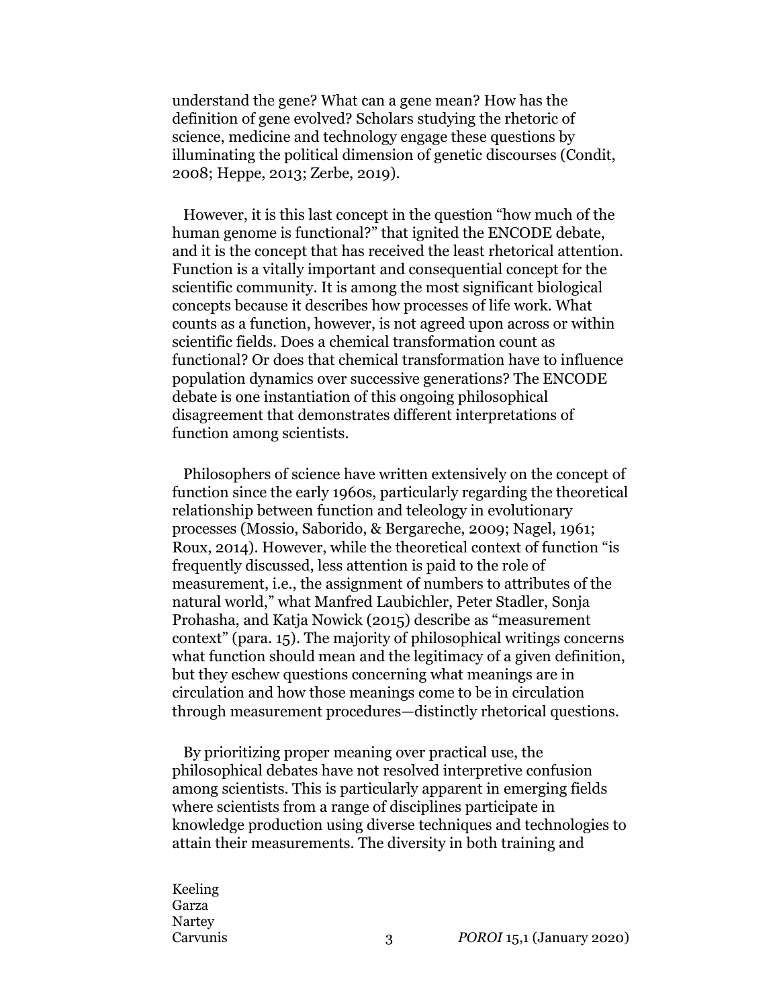understand the gene? What can a gene mean? How has the definition of gene evolved? Scholars studying the rhetoric of science, medicine and technology engage these questions by illuminating the political dimension of genetic discourses (Condit, 2008; Heppe, 2013; Zerbe, 2019).

However, it is this last concept in the question "how much of the human genome is functional?" that ignited the ENCODE debate, and it is the concept that has received the least rhetorical attention. Function is a vitally important and consequential concept for the scientific community. It is among the most significant biological concepts because it describes how processes of life work. What counts as a function, however, is not agreed upon across or within scientific fields. Does a chemical transformation count as functional? Or does that chemical transformation have to influence population dynamics over successive generations? The ENCODE debate is one instantiation of this ongoing philosophical disagreement that demonstrates different interpretations of function among scientists.

Philosophers of science have written extensively on the concept of function since the early 1960s, particularly regarding the theoretical relationship between function and teleology in evolutionary processes (Mossio, Saborido, & Bergareche, 2009; Nagel, 1961; Roux, 2014). However, while the theoretical context of function "is frequently discussed, less attention is paid to the role of measurement, i.e., the assignment of numbers to attributes of the natural world," what Manfred Laubichler, Peter Stadler, Sonja Prohasha, and Katja Nowick (2015) describe as "measurement context" (para. 15). The majority of philosophical writings concerns what function should mean and the legitimacy of a given definition, but they eschew questions concerning what meanings are in circulation and how those meanings come to be in circulation through measurement procedures—distinctly rhetorical questions.

By prioritizing proper meaning over practical use, the philosophical debates have not resolved interpretive confusion among scientists. This is particularly apparent in emerging fields where scientists from a range of disciplines participate in knowledge production using diverse techniques and technologies to attain their measurements. The diversity in both training and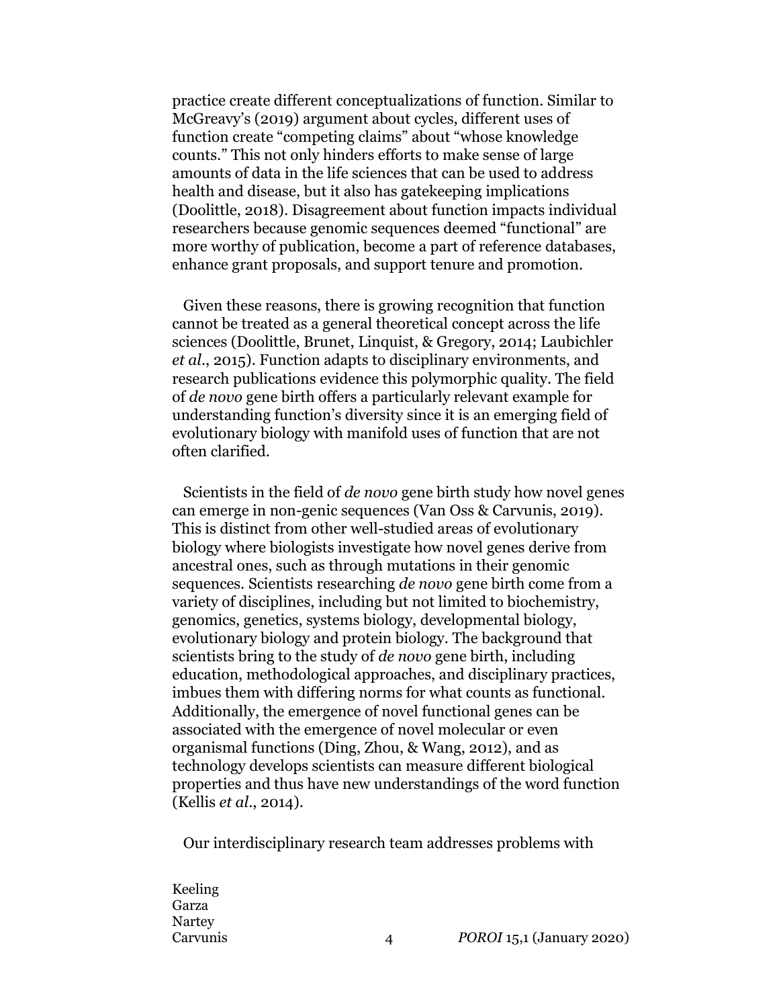practice create different conceptualizations of function. Similar to McGreavy's (2019) argument about cycles, different uses of function create "competing claims" about "whose knowledge counts." This not only hinders efforts to make sense of large amounts of data in the life sciences that can be used to address health and disease, but it also has gatekeeping implications (Doolittle, 2018). Disagreement about function impacts individual researchers because genomic sequences deemed "functional" are more worthy of publication, become a part of reference databases, enhance grant proposals, and support tenure and promotion.

Given these reasons, there is growing recognition that function cannot be treated as a general theoretical concept across the life sciences (Doolittle, Brunet, Linquist, & Gregory, 2014; Laubichler *et al*., 2015). Function adapts to disciplinary environments, and research publications evidence this polymorphic quality. The field of *de novo* gene birth offers a particularly relevant example for understanding function's diversity since it is an emerging field of evolutionary biology with manifold uses of function that are not often clarified.

Scientists in the field of *de novo* gene birth study how novel genes can emerge in non-genic sequences (Van Oss & Carvunis, 2019). This is distinct from other well-studied areas of evolutionary biology where biologists investigate how novel genes derive from ancestral ones, such as through mutations in their genomic sequences. Scientists researching *de novo* gene birth come from a variety of disciplines, including but not limited to biochemistry, genomics, genetics, systems biology, developmental biology, evolutionary biology and protein biology. The background that scientists bring to the study of *de novo* gene birth, including education, methodological approaches, and disciplinary practices, imbues them with differing norms for what counts as functional. Additionally, the emergence of novel functional genes can be associated with the emergence of novel molecular or even organismal functions (Ding, Zhou, & Wang, 2012), and as technology develops scientists can measure different biological properties and thus have new understandings of the word function (Kellis *et al*., 2014).

Our interdisciplinary research team addresses problems with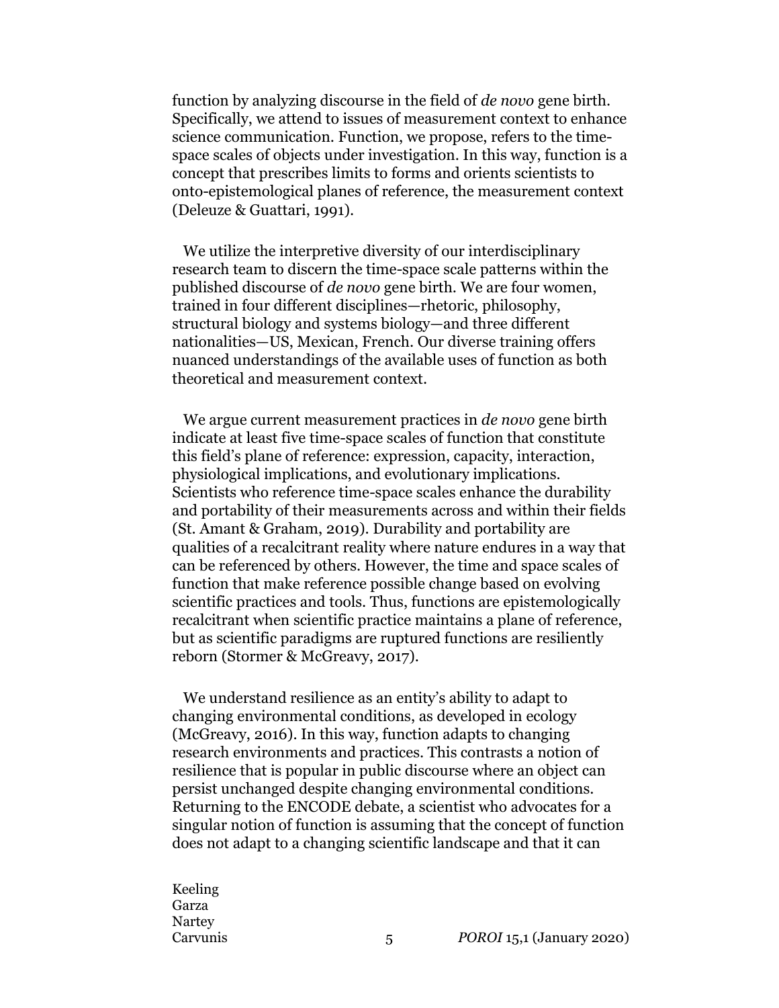function by analyzing discourse in the field of *de novo* gene birth. Specifically, we attend to issues of measurement context to enhance science communication. Function, we propose, refers to the timespace scales of objects under investigation. In this way, function is a concept that prescribes limits to forms and orients scientists to onto-epistemological planes of reference, the measurement context (Deleuze & Guattari, 1991).

We utilize the interpretive diversity of our interdisciplinary research team to discern the time-space scale patterns within the published discourse of *de novo* gene birth. We are four women, trained in four different disciplines—rhetoric, philosophy, structural biology and systems biology—and three different nationalities—US, Mexican, French. Our diverse training offers nuanced understandings of the available uses of function as both theoretical and measurement context.

We argue current measurement practices in *de novo* gene birth indicate at least five time-space scales of function that constitute this field's plane of reference: expression, capacity, interaction, physiological implications, and evolutionary implications. Scientists who reference time-space scales enhance the durability and portability of their measurements across and within their fields (St. Amant & Graham, 2019). Durability and portability are qualities of a recalcitrant reality where nature endures in a way that can be referenced by others. However, the time and space scales of function that make reference possible change based on evolving scientific practices and tools. Thus, functions are epistemologically recalcitrant when scientific practice maintains a plane of reference, but as scientific paradigms are ruptured functions are resiliently reborn (Stormer & McGreavy, 2017).

We understand resilience as an entity's ability to adapt to changing environmental conditions, as developed in ecology (McGreavy, 2016). In this way, function adapts to changing research environments and practices. This contrasts a notion of resilience that is popular in public discourse where an object can persist unchanged despite changing environmental conditions. Returning to the ENCODE debate, a scientist who advocates for a singular notion of function is assuming that the concept of function does not adapt to a changing scientific landscape and that it can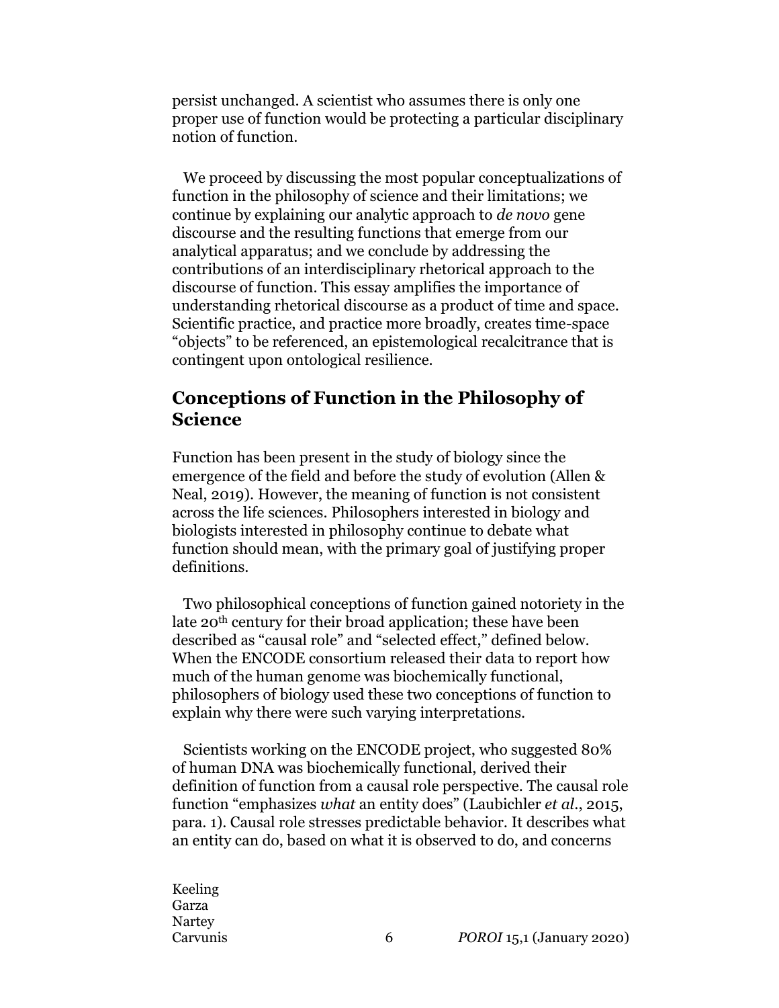persist unchanged. A scientist who assumes there is only one proper use of function would be protecting a particular disciplinary notion of function.

We proceed by discussing the most popular conceptualizations of function in the philosophy of science and their limitations; we continue by explaining our analytic approach to *de novo* gene discourse and the resulting functions that emerge from our analytical apparatus; and we conclude by addressing the contributions of an interdisciplinary rhetorical approach to the discourse of function. This essay amplifies the importance of understanding rhetorical discourse as a product of time and space. Scientific practice, and practice more broadly, creates time-space "objects" to be referenced, an epistemological recalcitrance that is contingent upon ontological resilience.

## **Conceptions of Function in the Philosophy of Science**

Function has been present in the study of biology since the emergence of the field and before the study of evolution (Allen & Neal, 2019). However, the meaning of function is not consistent across the life sciences. Philosophers interested in biology and biologists interested in philosophy continue to debate what function should mean, with the primary goal of justifying proper definitions.

Two philosophical conceptions of function gained notoriety in the late 20th century for their broad application; these have been described as "causal role" and "selected effect," defined below. When the ENCODE consortium released their data to report how much of the human genome was biochemically functional, philosophers of biology used these two conceptions of function to explain why there were such varying interpretations.

Scientists working on the ENCODE project, who suggested 80% of human DNA was biochemically functional, derived their definition of function from a causal role perspective. The causal role function "emphasizes *what* an entity does" (Laubichler *et al*., 2015, para. 1). Causal role stresses predictable behavior. It describes what an entity can do, based on what it is observed to do, and concerns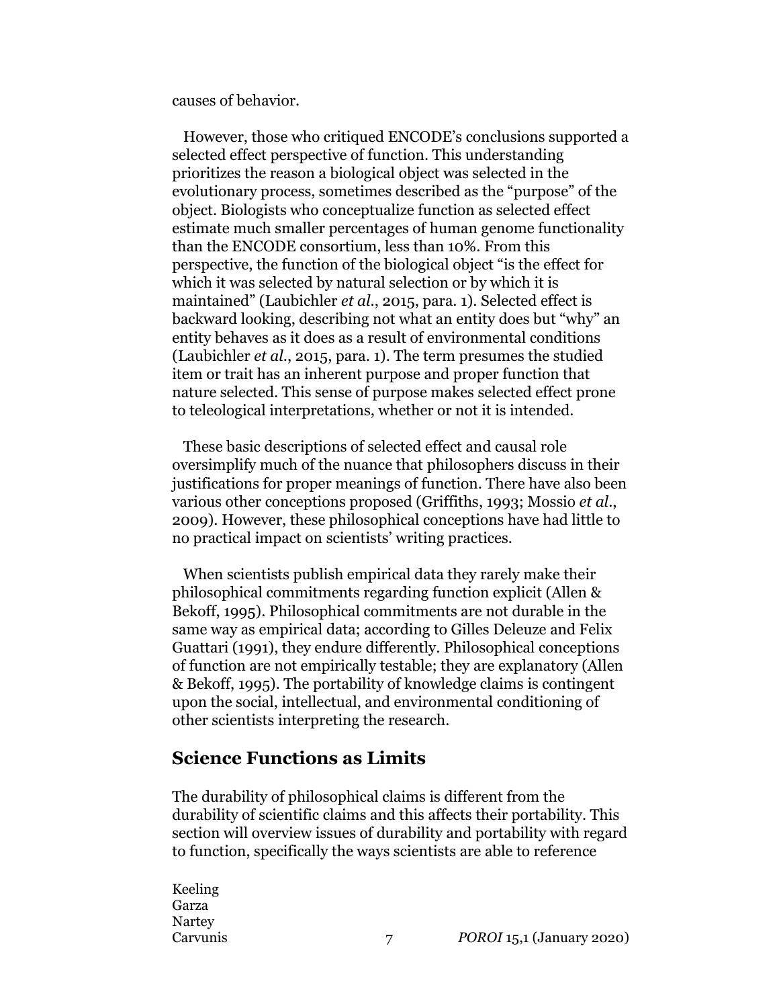causes of behavior.

However, those who critiqued ENCODE's conclusions supported a selected effect perspective of function. This understanding prioritizes the reason a biological object was selected in the evolutionary process, sometimes described as the "purpose" of the object. Biologists who conceptualize function as selected effect estimate much smaller percentages of human genome functionality than the ENCODE consortium, less than 10%. From this perspective, the function of the biological object "is the effect for which it was selected by natural selection or by which it is maintained" (Laubichler *et al*., 2015, para. 1). Selected effect is backward looking, describing not what an entity does but "why" an entity behaves as it does as a result of environmental conditions (Laubichler *et al*., 2015, para. 1). The term presumes the studied item or trait has an inherent purpose and proper function that nature selected. This sense of purpose makes selected effect prone to teleological interpretations, whether or not it is intended.

These basic descriptions of selected effect and causal role oversimplify much of the nuance that philosophers discuss in their justifications for proper meanings of function. There have also been various other conceptions proposed (Griffiths, 1993; Mossio *et al*., 2009). However, these philosophical conceptions have had little to no practical impact on scientists' writing practices.

When scientists publish empirical data they rarely make their philosophical commitments regarding function explicit (Allen & Bekoff, 1995). Philosophical commitments are not durable in the same way as empirical data; according to Gilles Deleuze and Felix Guattari (1991), they endure differently. Philosophical conceptions of function are not empirically testable; they are explanatory (Allen & Bekoff, 1995). The portability of knowledge claims is contingent upon the social, intellectual, and environmental conditioning of other scientists interpreting the research.

#### **Science Functions as Limits**

The durability of philosophical claims is different from the durability of scientific claims and this affects their portability. This section will overview issues of durability and portability with regard to function, specifically the ways scientists are able to reference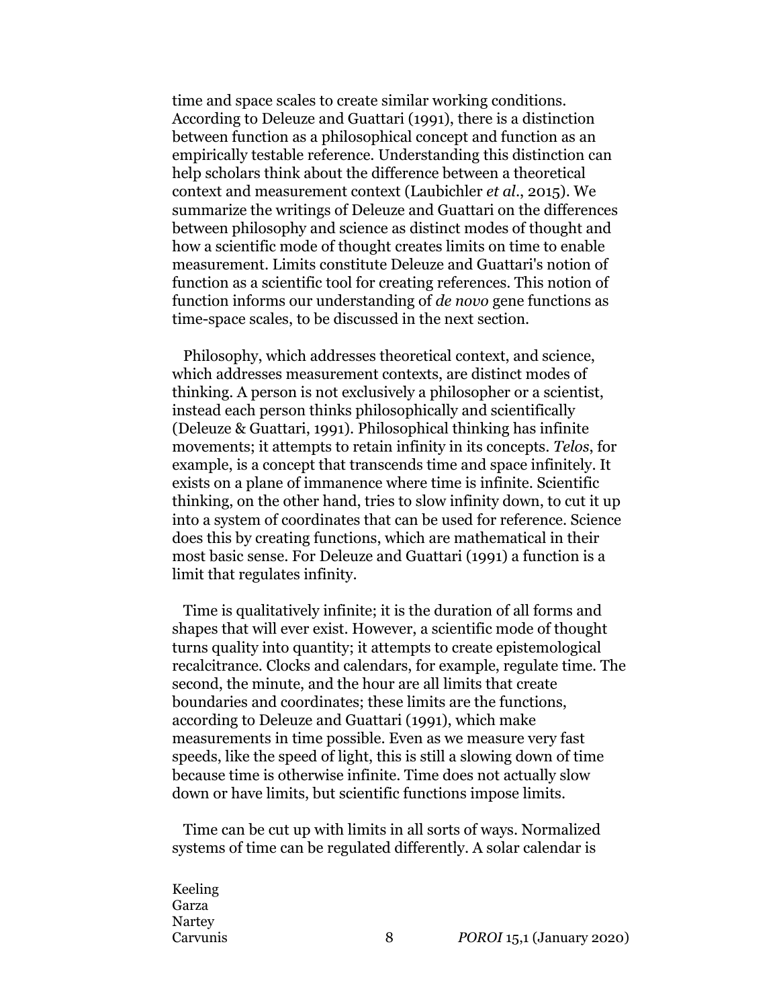time and space scales to create similar working conditions. According to Deleuze and Guattari (1991), there is a distinction between function as a philosophical concept and function as an empirically testable reference. Understanding this distinction can help scholars think about the difference between a theoretical context and measurement context (Laubichler *et al*., 2015). We summarize the writings of Deleuze and Guattari on the differences between philosophy and science as distinct modes of thought and how a scientific mode of thought creates limits on time to enable measurement. Limits constitute Deleuze and Guattari's notion of function as a scientific tool for creating references. This notion of function informs our understanding of *de novo* gene functions as time-space scales, to be discussed in the next section.

Philosophy, which addresses theoretical context, and science, which addresses measurement contexts, are distinct modes of thinking. A person is not exclusively a philosopher or a scientist, instead each person thinks philosophically and scientifically (Deleuze & Guattari, 1991). Philosophical thinking has infinite movements; it attempts to retain infinity in its concepts. *Telos*, for example, is a concept that transcends time and space infinitely. It exists on a plane of immanence where time is infinite. Scientific thinking, on the other hand, tries to slow infinity down, to cut it up into a system of coordinates that can be used for reference. Science does this by creating functions, which are mathematical in their most basic sense. For Deleuze and Guattari (1991) a function is a limit that regulates infinity.

Time is qualitatively infinite; it is the duration of all forms and shapes that will ever exist. However, a scientific mode of thought turns quality into quantity; it attempts to create epistemological recalcitrance. Clocks and calendars, for example, regulate time. The second, the minute, and the hour are all limits that create boundaries and coordinates; these limits are the functions, according to Deleuze and Guattari (1991), which make measurements in time possible. Even as we measure very fast speeds, like the speed of light, this is still a slowing down of time because time is otherwise infinite. Time does not actually slow down or have limits, but scientific functions impose limits.

Time can be cut up with limits in all sorts of ways. Normalized systems of time can be regulated differently. A solar calendar is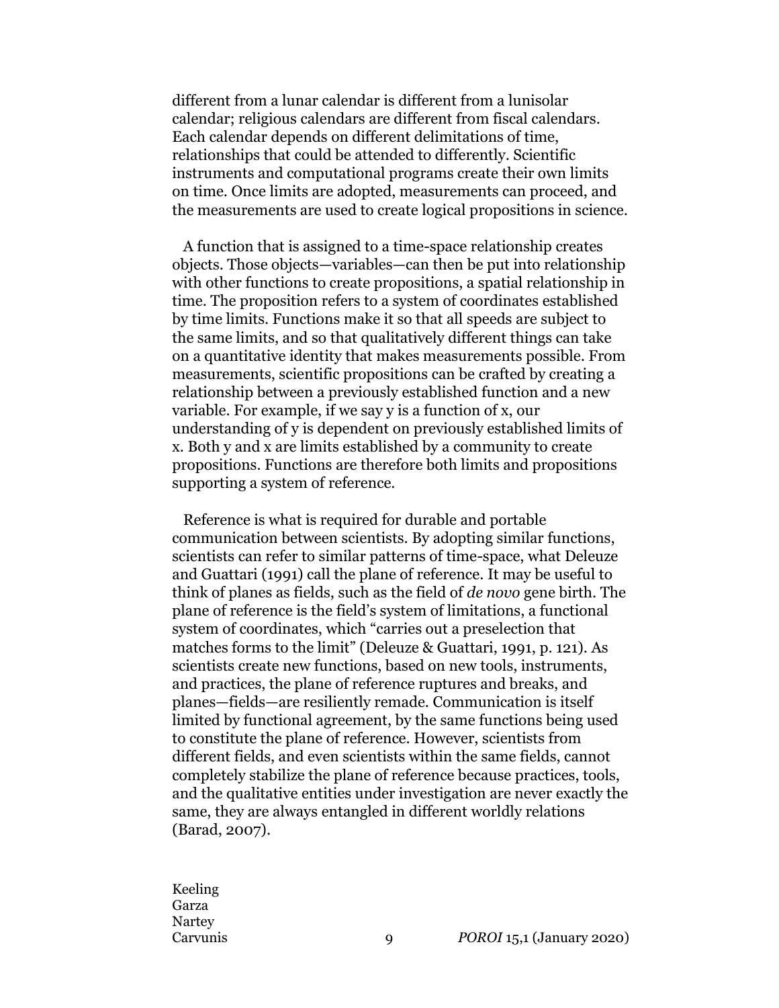different from a lunar calendar is different from a lunisolar calendar; religious calendars are different from fiscal calendars. Each calendar depends on different delimitations of time, relationships that could be attended to differently. Scientific instruments and computational programs create their own limits on time. Once limits are adopted, measurements can proceed, and the measurements are used to create logical propositions in science.

A function that is assigned to a time-space relationship creates objects. Those objects—variables—can then be put into relationship with other functions to create propositions, a spatial relationship in time. The proposition refers to a system of coordinates established by time limits. Functions make it so that all speeds are subject to the same limits, and so that qualitatively different things can take on a quantitative identity that makes measurements possible. From measurements, scientific propositions can be crafted by creating a relationship between a previously established function and a new variable. For example, if we say y is a function of x, our understanding of y is dependent on previously established limits of x. Both y and x are limits established by a community to create propositions. Functions are therefore both limits and propositions supporting a system of reference.

Reference is what is required for durable and portable communication between scientists. By adopting similar functions, scientists can refer to similar patterns of time-space, what Deleuze and Guattari (1991) call the plane of reference. It may be useful to think of planes as fields, such as the field of *de novo* gene birth. The plane of reference is the field's system of limitations, a functional system of coordinates, which "carries out a preselection that matches forms to the limit" (Deleuze & Guattari, 1991, p. 121). As scientists create new functions, based on new tools, instruments, and practices, the plane of reference ruptures and breaks, and planes—fields—are resiliently remade. Communication is itself limited by functional agreement, by the same functions being used to constitute the plane of reference. However, scientists from different fields, and even scientists within the same fields, cannot completely stabilize the plane of reference because practices, tools, and the qualitative entities under investigation are never exactly the same, they are always entangled in different worldly relations (Barad, 2007).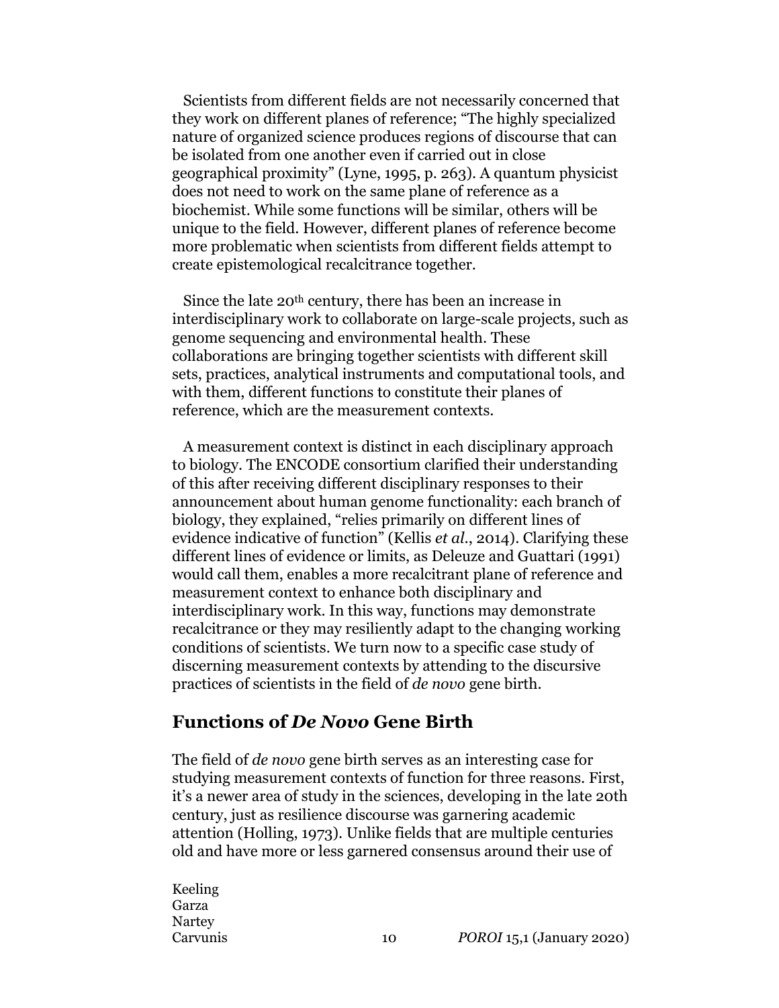Scientists from different fields are not necessarily concerned that they work on different planes of reference; "The highly specialized nature of organized science produces regions of discourse that can be isolated from one another even if carried out in close geographical proximity" (Lyne, 1995, p. 263). A quantum physicist does not need to work on the same plane of reference as a biochemist. While some functions will be similar, others will be unique to the field. However, different planes of reference become more problematic when scientists from different fields attempt to create epistemological recalcitrance together.

Since the late 20th century, there has been an increase in interdisciplinary work to collaborate on large-scale projects, such as genome sequencing and environmental health. These collaborations are bringing together scientists with different skill sets, practices, analytical instruments and computational tools, and with them, different functions to constitute their planes of reference, which are the measurement contexts.

A measurement context is distinct in each disciplinary approach to biology. The ENCODE consortium clarified their understanding of this after receiving different disciplinary responses to their announcement about human genome functionality: each branch of biology, they explained, "relies primarily on different lines of evidence indicative of function" (Kellis *et al*., 2014). Clarifying these different lines of evidence or limits, as Deleuze and Guattari (1991) would call them, enables a more recalcitrant plane of reference and measurement context to enhance both disciplinary and interdisciplinary work. In this way, functions may demonstrate recalcitrance or they may resiliently adapt to the changing working conditions of scientists. We turn now to a specific case study of discerning measurement contexts by attending to the discursive practices of scientists in the field of *de novo* gene birth.

#### **Functions of** *De Novo* **Gene Birth**

The field of *de novo* gene birth serves as an interesting case for studying measurement contexts of function for three reasons. First, it's a newer area of study in the sciences, developing in the late 20th century, just as resilience discourse was garnering academic attention (Holling, 1973). Unlike fields that are multiple centuries old and have more or less garnered consensus around their use of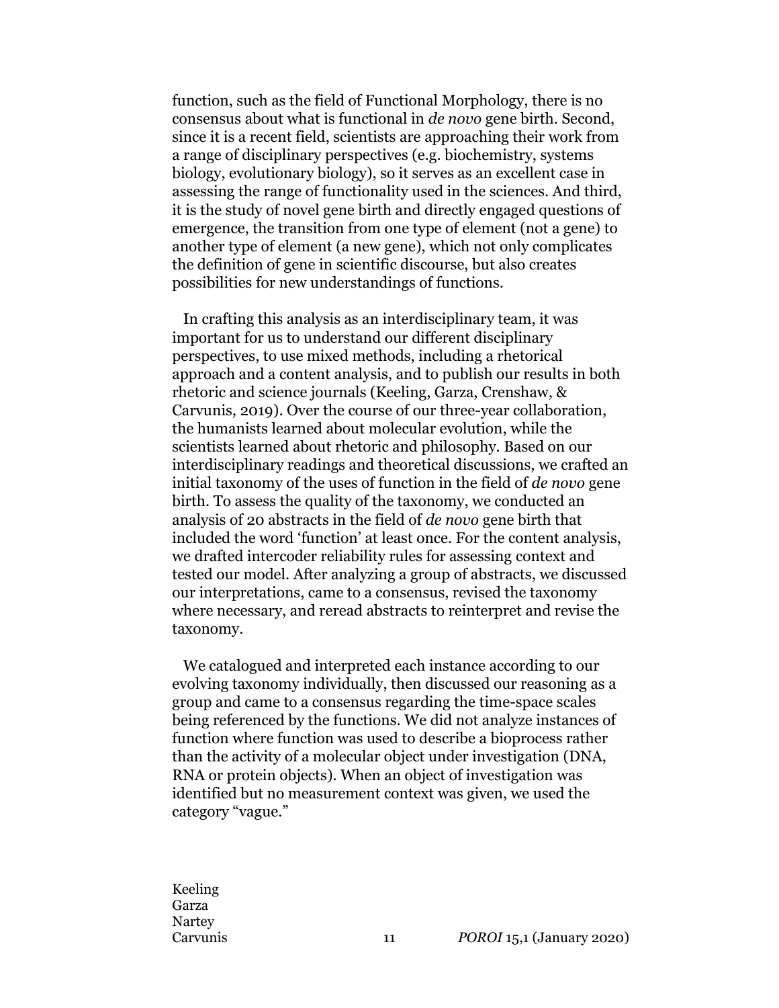function, such as the field of Functional Morphology, there is no consensus about what is functional in *de novo* gene birth. Second, since it is a recent field, scientists are approaching their work from a range of disciplinary perspectives (e.g. biochemistry, systems biology, evolutionary biology), so it serves as an excellent case in assessing the range of functionality used in the sciences. And third, it is the study of novel gene birth and directly engaged questions of emergence, the transition from one type of element (not a gene) to another type of element (a new gene), which not only complicates the definition of gene in scientific discourse, but also creates possibilities for new understandings of functions.

In crafting this analysis as an interdisciplinary team, it was important for us to understand our different disciplinary perspectives, to use mixed methods, including a rhetorical approach and a content analysis, and to publish our results in both rhetoric and science journals (Keeling, Garza, Crenshaw, & Carvunis, 2019). Over the course of our three-year collaboration, the humanists learned about molecular evolution, while the scientists learned about rhetoric and philosophy. Based on our interdisciplinary readings and theoretical discussions, we crafted an initial taxonomy of the uses of function in the field of *de novo* gene birth. To assess the quality of the taxonomy, we conducted an analysis of 20 abstracts in the field of *de novo* gene birth that included the word 'function' at least once. For the content analysis, we drafted intercoder reliability rules for assessing context and tested our model. After analyzing a group of abstracts, we discussed our interpretations, came to a consensus, revised the taxonomy where necessary, and reread abstracts to reinterpret and revise the taxonomy.

We catalogued and interpreted each instance according to our evolving taxonomy individually, then discussed our reasoning as a group and came to a consensus regarding the time-space scales being referenced by the functions. We did not analyze instances of function where function was used to describe a bioprocess rather than the activity of a molecular object under investigation (DNA, RNA or protein objects). When an object of investigation was identified but no measurement context was given, we used the category "vague."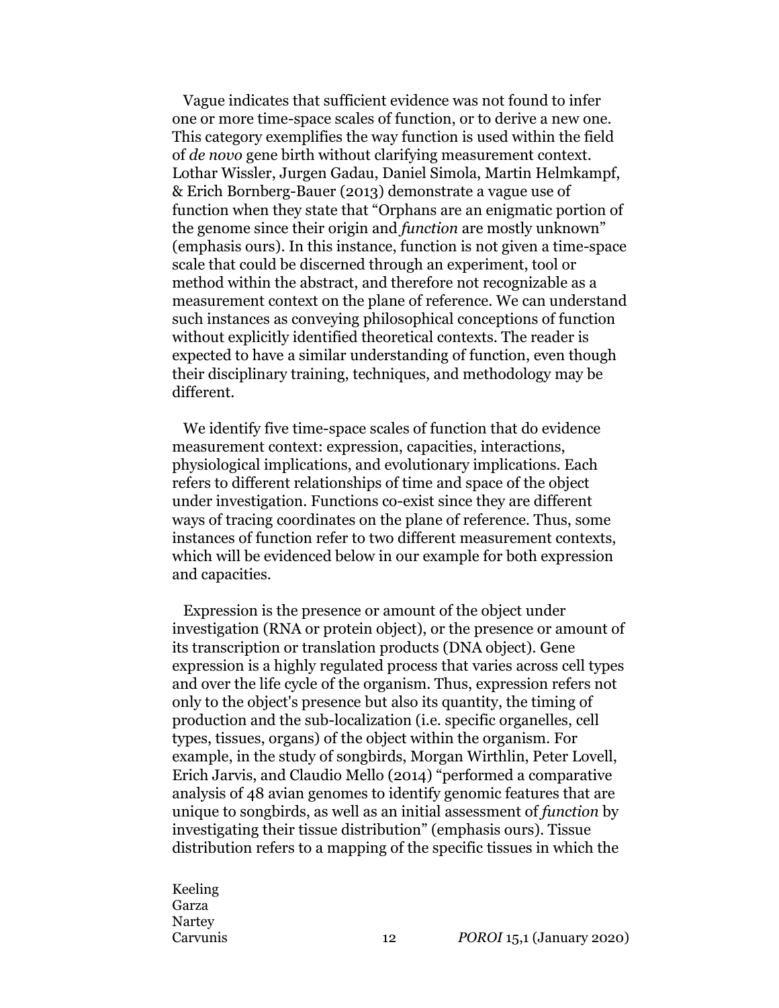Vague indicates that sufficient evidence was not found to infer one or more time-space scales of function, or to derive a new one. This category exemplifies the way function is used within the field of *de novo* gene birth without clarifying measurement context. Lothar Wissler, Jurgen Gadau, Daniel Simola, Martin Helmkampf, & Erich Bornberg-Bauer (2013) demonstrate a vague use of function when they state that "Orphans are an enigmatic portion of the genome since their origin and *function* are mostly unknown" (emphasis ours). In this instance, function is not given a time-space scale that could be discerned through an experiment, tool or method within the abstract, and therefore not recognizable as a measurement context on the plane of reference. We can understand such instances as conveying philosophical conceptions of function without explicitly identified theoretical contexts. The reader is expected to have a similar understanding of function, even though their disciplinary training, techniques, and methodology may be different.

We identify five time-space scales of function that do evidence measurement context: expression, capacities, interactions, physiological implications, and evolutionary implications. Each refers to different relationships of time and space of the object under investigation. Functions co-exist since they are different ways of tracing coordinates on the plane of reference. Thus, some instances of function refer to two different measurement contexts, which will be evidenced below in our example for both expression and capacities.

Expression is the presence or amount of the object under investigation (RNA or protein object), or the presence or amount of its transcription or translation products (DNA object). Gene expression is a highly regulated process that varies across cell types and over the life cycle of the organism. Thus, expression refers not only to the object's presence but also its quantity, the timing of production and the sub-localization (i.e. specific organelles, cell types, tissues, organs) of the object within the organism. For example, in the study of songbirds, Morgan Wirthlin, Peter Lovell, Erich Jarvis, and Claudio Mello (2014) "performed a comparative analysis of 48 avian genomes to identify genomic features that are unique to songbirds, as well as an initial assessment of *function* by investigating their tissue distribution" (emphasis ours). Tissue distribution refers to a mapping of the specific tissues in which the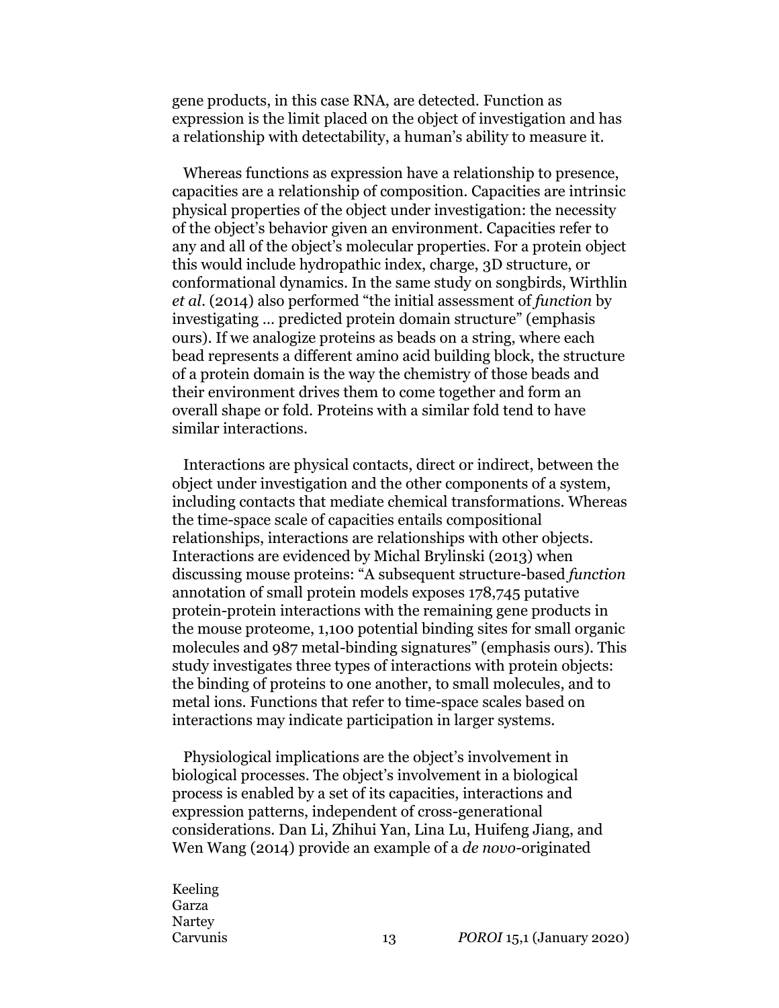gene products, in this case RNA, are detected. Function as expression is the limit placed on the object of investigation and has a relationship with detectability, a human's ability to measure it.

Whereas functions as expression have a relationship to presence, capacities are a relationship of composition. Capacities are intrinsic physical properties of the object under investigation: the necessity of the object's behavior given an environment. Capacities refer to any and all of the object's molecular properties. For a protein object this would include hydropathic index, charge, 3D structure, or conformational dynamics. In the same study on songbirds, Wirthlin *et al*. (2014) also performed "the initial assessment of *function* by investigating … predicted protein domain structure" (emphasis ours). If we analogize proteins as beads on a string, where each bead represents a different amino acid building block, the structure of a protein domain is the way the chemistry of those beads and their environment drives them to come together and form an overall shape or fold. Proteins with a similar fold tend to have similar interactions.

Interactions are physical contacts, direct or indirect, between the object under investigation and the other components of a system, including contacts that mediate chemical transformations. Whereas the time-space scale of capacities entails compositional relationships, interactions are relationships with other objects. Interactions are evidenced by Michal Brylinski (2013) when discussing mouse proteins: "A subsequent structure-based *function* annotation of small protein models exposes 178,745 putative protein-protein interactions with the remaining gene products in the mouse proteome, 1,100 potential binding sites for small organic molecules and 987 metal-binding signatures" (emphasis ours). This study investigates three types of interactions with protein objects: the binding of proteins to one another, to small molecules, and to metal ions. Functions that refer to time-space scales based on interactions may indicate participation in larger systems.

Physiological implications are the object's involvement in biological processes. The object's involvement in a biological process is enabled by a set of its capacities, interactions and expression patterns, independent of cross-generational considerations. Dan Li, Zhihui Yan, Lina Lu, Huifeng Jiang, and Wen Wang (2014) provide an example of a *de novo*-originated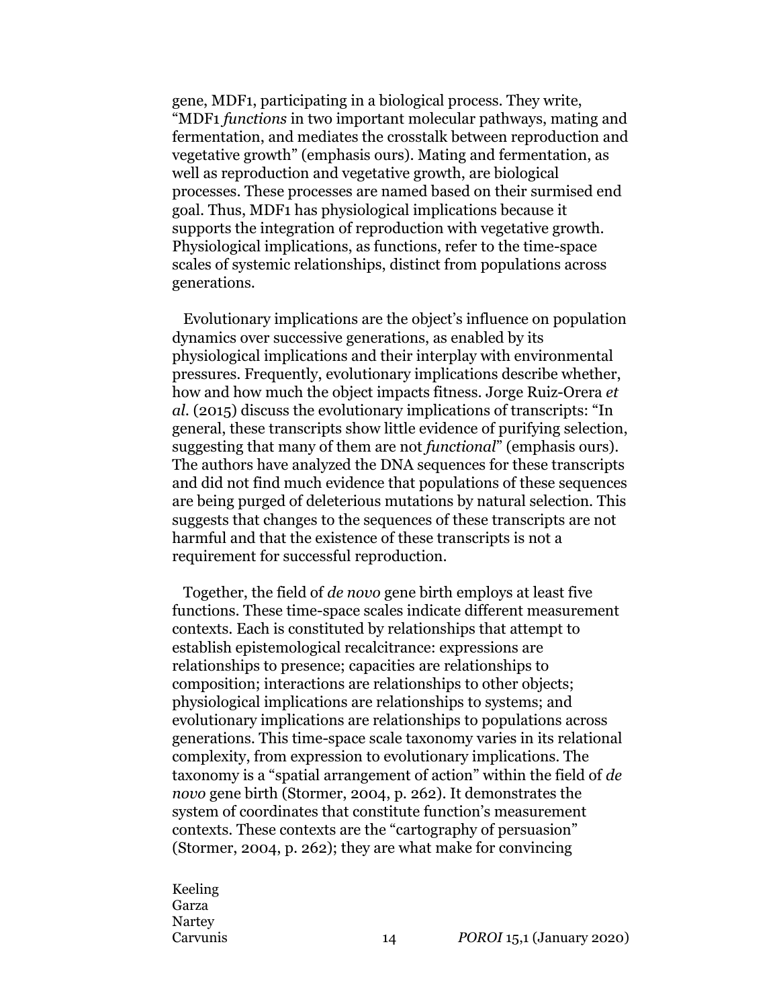gene, MDF1, participating in a biological process. They write, "MDF1 *functions* in two important molecular pathways, mating and fermentation, and mediates the crosstalk between reproduction and vegetative growth" (emphasis ours). Mating and fermentation, as well as reproduction and vegetative growth, are biological processes. These processes are named based on their surmised end goal. Thus, MDF1 has physiological implications because it supports the integration of reproduction with vegetative growth. Physiological implications, as functions, refer to the time-space scales of systemic relationships, distinct from populations across generations.

Evolutionary implications are the object's influence on population dynamics over successive generations, as enabled by its physiological implications and their interplay with environmental pressures. Frequently, evolutionary implications describe whether, how and how much the object impacts fitness. Jorge Ruiz-Orera *et al*. (2015) discuss the evolutionary implications of transcripts: "In general, these transcripts show little evidence of purifying selection, suggesting that many of them are not *functional*" (emphasis ours). The authors have analyzed the DNA sequences for these transcripts and did not find much evidence that populations of these sequences are being purged of deleterious mutations by natural selection. This suggests that changes to the sequences of these transcripts are not harmful and that the existence of these transcripts is not a requirement for successful reproduction.

Together, the field of *de novo* gene birth employs at least five functions. These time-space scales indicate different measurement contexts. Each is constituted by relationships that attempt to establish epistemological recalcitrance: expressions are relationships to presence; capacities are relationships to composition; interactions are relationships to other objects; physiological implications are relationships to systems; and evolutionary implications are relationships to populations across generations. This time-space scale taxonomy varies in its relational complexity, from expression to evolutionary implications. The taxonomy is a "spatial arrangement of action" within the field of *de novo* gene birth (Stormer, 2004, p. 262). It demonstrates the system of coordinates that constitute function's measurement contexts. These contexts are the "cartography of persuasion" (Stormer, 2004, p. 262); they are what make for convincing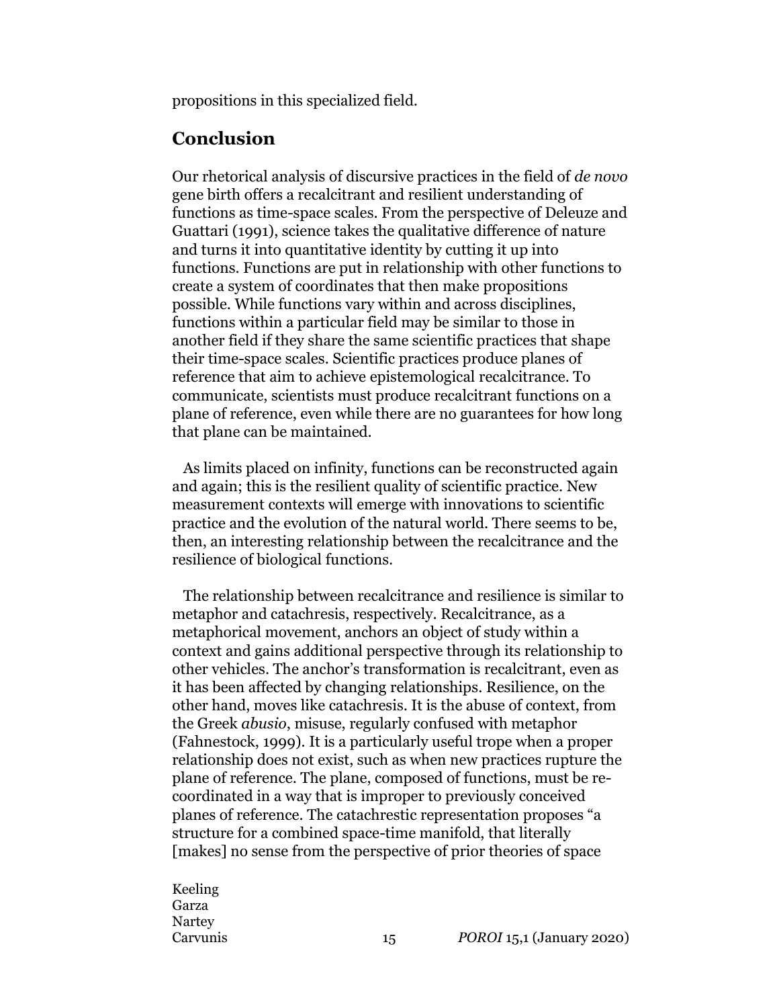propositions in this specialized field.

### **Conclusion**

Our rhetorical analysis of discursive practices in the field of *de novo* gene birth offers a recalcitrant and resilient understanding of functions as time-space scales. From the perspective of Deleuze and Guattari (1991), science takes the qualitative difference of nature and turns it into quantitative identity by cutting it up into functions. Functions are put in relationship with other functions to create a system of coordinates that then make propositions possible. While functions vary within and across disciplines, functions within a particular field may be similar to those in another field if they share the same scientific practices that shape their time-space scales. Scientific practices produce planes of reference that aim to achieve epistemological recalcitrance. To communicate, scientists must produce recalcitrant functions on a plane of reference, even while there are no guarantees for how long that plane can be maintained.

As limits placed on infinity, functions can be reconstructed again and again; this is the resilient quality of scientific practice. New measurement contexts will emerge with innovations to scientific practice and the evolution of the natural world. There seems to be, then, an interesting relationship between the recalcitrance and the resilience of biological functions.

The relationship between recalcitrance and resilience is similar to metaphor and catachresis, respectively. Recalcitrance, as a metaphorical movement, anchors an object of study within a context and gains additional perspective through its relationship to other vehicles. The anchor's transformation is recalcitrant, even as it has been affected by changing relationships. Resilience, on the other hand, moves like catachresis. It is the abuse of context, from the Greek *abusio*, misuse, regularly confused with metaphor (Fahnestock, 1999). It is a particularly useful trope when a proper relationship does not exist, such as when new practices rupture the plane of reference. The plane, composed of functions, must be recoordinated in a way that is improper to previously conceived planes of reference. The catachrestic representation proposes "a structure for a combined space-time manifold, that literally [makes] no sense from the perspective of prior theories of space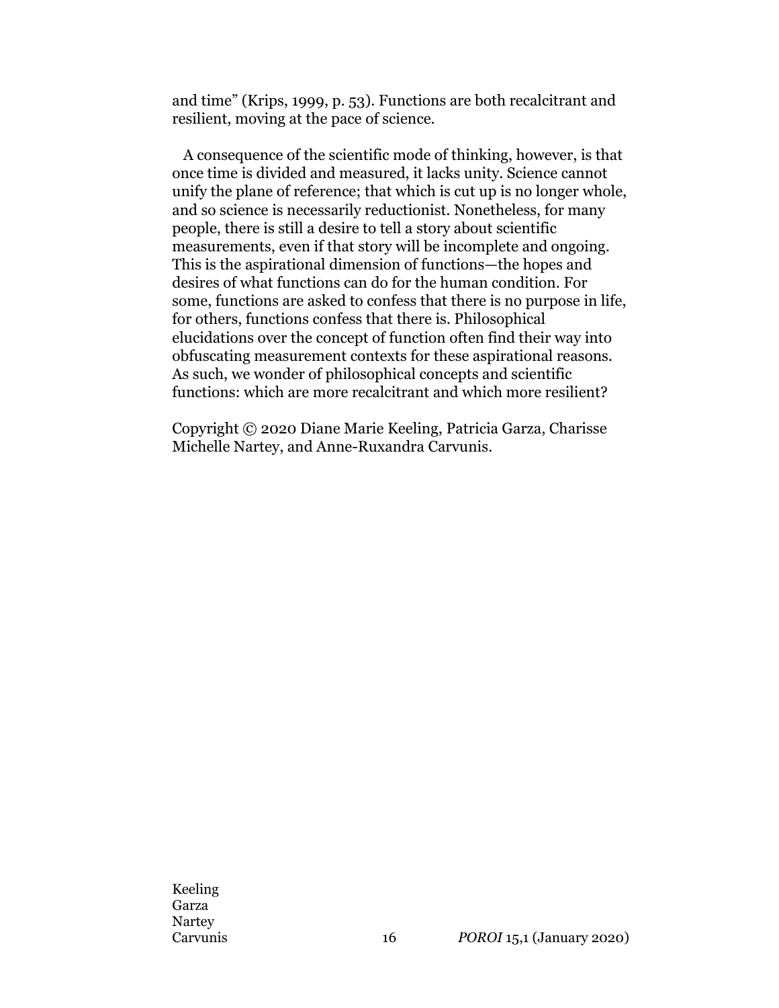and time" (Krips, 1999, p. 53). Functions are both recalcitrant and resilient, moving at the pace of science.

A consequence of the scientific mode of thinking, however, is that once time is divided and measured, it lacks unity. Science cannot unify the plane of reference; that which is cut up is no longer whole, and so science is necessarily reductionist. Nonetheless, for many people, there is still a desire to tell a story about scientific measurements, even if that story will be incomplete and ongoing. This is the aspirational dimension of functions—the hopes and desires of what functions can do for the human condition. For some, functions are asked to confess that there is no purpose in life, for others, functions confess that there is. Philosophical elucidations over the concept of function often find their way into obfuscating measurement contexts for these aspirational reasons. As such, we wonder of philosophical concepts and scientific functions: which are more recalcitrant and which more resilient?

Copyright © 2020 Diane Marie Keeling, Patricia Garza, Charisse Michelle Nartey, and Anne-Ruxandra Carvunis.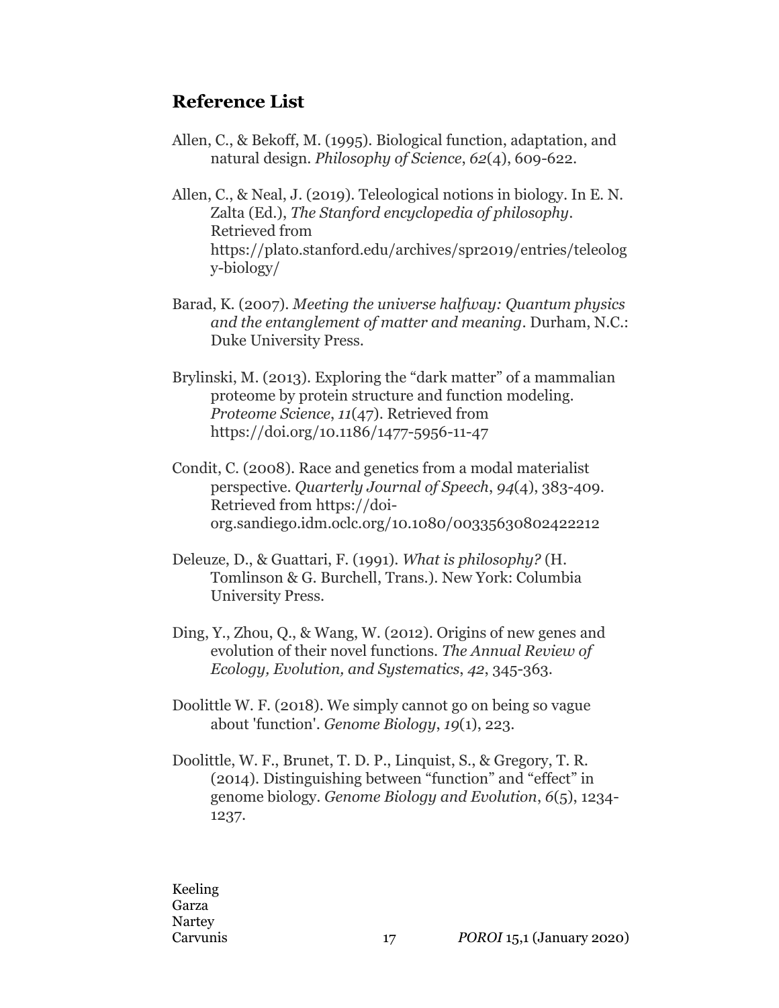### **Reference List**

Allen, C., & Bekoff, M. (1995). Biological function, adaptation, and natural design. *Philosophy of Science*, *62*(4), 609-622.

Allen, C., & Neal, J. (2019). Teleological notions in biology. In E. N. Zalta (Ed.), *The Stanford encyclopedia of philosophy*. Retrieved from https://plato.stanford.edu/archives/spr2019/entries/teleolog y-biology/

- Barad, K. (2007). *Meeting the universe halfway: Quantum physics and the entanglement of matter and meaning*. Durham, N.C.: Duke University Press.
- Brylinski, M. (2013). Exploring the "dark matter" of a mammalian proteome by protein structure and function modeling. *Proteome Science*, *11*(47). Retrieved from https://doi.org/10.1186/1477-5956-11-47
- Condit, C. (2008). Race and genetics from a modal materialist perspective. *Quarterly Journal of Speech*, *94*(4), 383-409. Retrieved from https://doiorg.sandiego.idm.oclc.org/10.1080/00335630802422212
- Deleuze, D., & Guattari, F. (1991). *What is philosophy?* (H. Tomlinson & G. Burchell, Trans.). New York: Columbia University Press.
- Ding, Y., Zhou, Q., & Wang, W. (2012). Origins of new genes and evolution of their novel functions. *The Annual Review of Ecology, Evolution, and Systematics*, *42*, 345-363.
- Doolittle W. F. (2018). We simply cannot go on being so vague about 'function'. *Genome Biology*, *19*(1), 223.
- Doolittle, W. F., Brunet, T. D. P., Linquist, S., & Gregory, T. R. (2014). Distinguishing between "function" and "effect" in genome biology. *Genome Biology and Evolution*, *6*(5), 1234- 1237.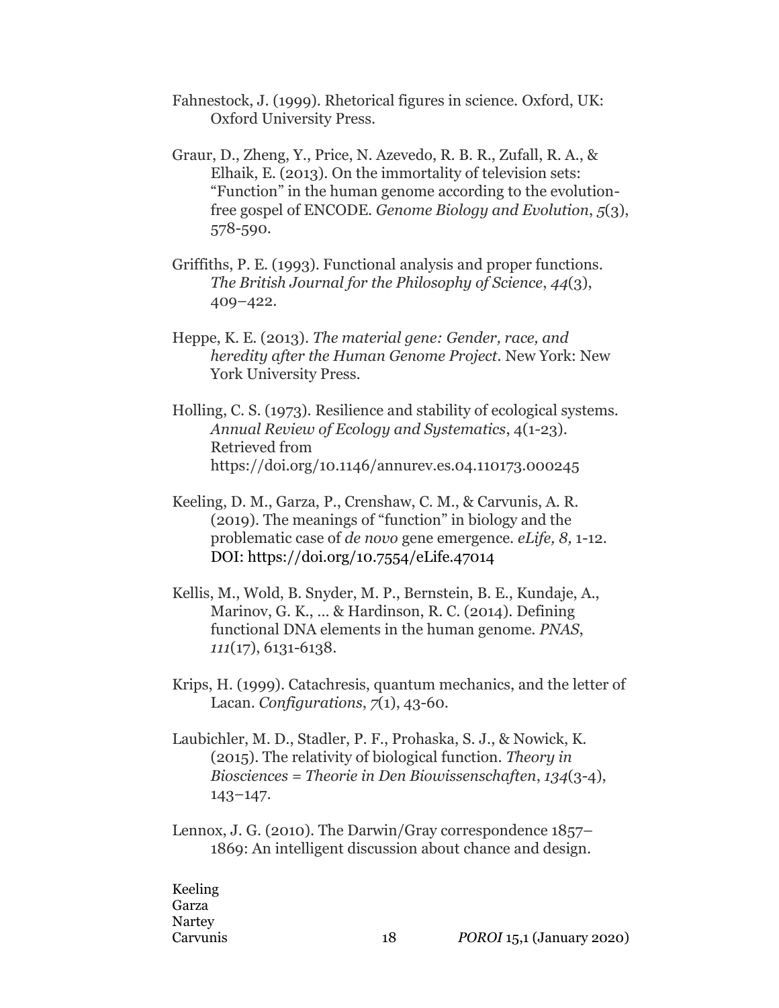- Fahnestock, J. (1999). Rhetorical figures in science. Oxford, UK: Oxford University Press.
- Graur, D., Zheng, Y., Price, N. Azevedo, R. B. R., Zufall, R. A., & Elhaik, E. (2013). On the immortality of television sets: "Function" in the human genome according to the evolutionfree gospel of ENCODE. *Genome Biology and Evolution*, *5*(3), 578-590.
- Griffiths, P. E. (1993). Functional analysis and proper functions. *The British Journal for the Philosophy of Science*, *44*(3), 409–422.
- Heppe, K. E. (2013). *The material gene: Gender, race, and heredity after the Human Genome Project.* New York: New York University Press.
- Holling, C. S. (1973). Resilience and stability of ecological systems. *Annual Review of Ecology and Systematics*, 4(1*-*23). Retrieved from https://doi.org/10.1146/annurev.es.04.110173.000245
- Keeling, D. M., Garza, P., Crenshaw, C. M., & Carvunis, A. R. (2019). The meanings of "function" in biology and the problematic case of *de novo* gene emergence. *eLife, 8,* 1-12. DOI: https://doi.org/10.7554/eLife.47014
- Kellis, M., Wold, B. Snyder, M. P., Bernstein, B. E., Kundaje, A., Marinov, G. K., … & Hardinson, R. C. (2014). Defining functional DNA elements in the human genome. *PNAS*, *111*(17), 6131-6138.
- Krips, H. (1999). Catachresis, quantum mechanics, and the letter of Lacan. *Configurations*, *7*(1), 43-60.
- Laubichler, M. D., Stadler, P. F., Prohaska, S. J., & Nowick, K. (2015). The relativity of biological function. *Theory in Biosciences = Theorie in Den Biowissenschaften*, *134*(3-4), 143–147.
- Lennox, J. G. (2010). The Darwin/Gray correspondence 1857– 1869: An intelligent discussion about chance and design.

Keeling Garza Nartey Carvunis 18 *POROI* 15,1 (January 2020)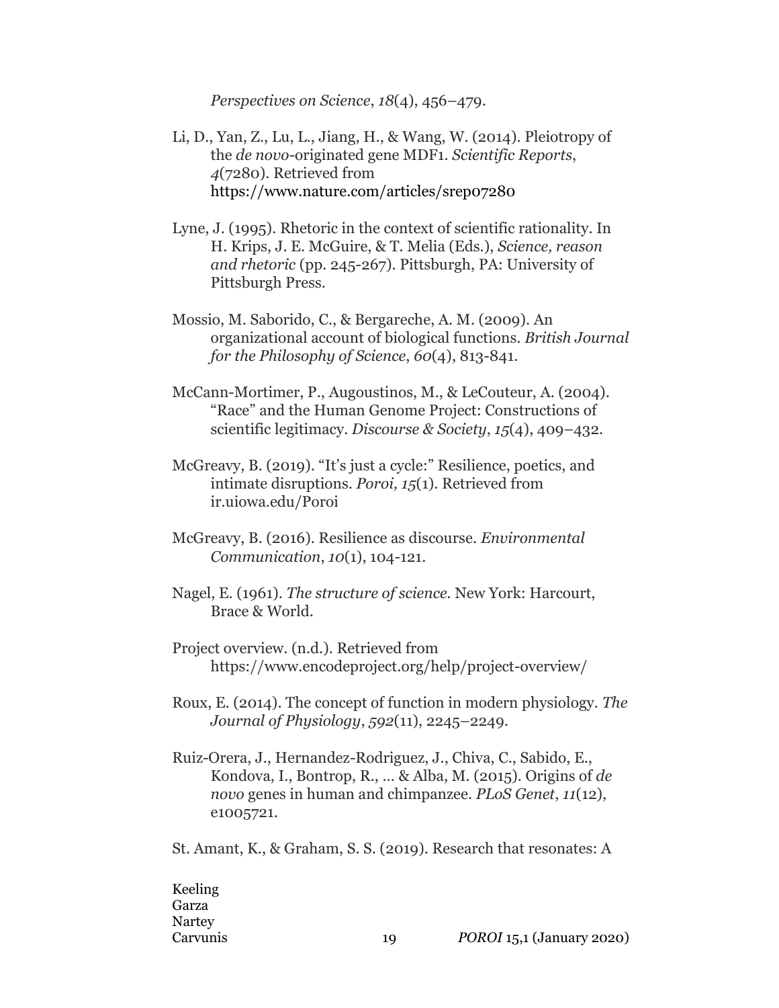*Perspectives on Science*, *18*(4), 456–479.

- Li, D., Yan, Z., Lu, L., Jiang, H., & Wang, W. (2014). Pleiotropy of the *de novo*-originated gene MDF1. *Scientific Reports*, *4*(7280). Retrieved from https://www.nature.com/articles/srep07280
- Lyne, J. (1995). Rhetoric in the context of scientific rationality. In H. Krips, J. E. McGuire, & T. Melia (Eds.), *Science, reason and rhetoric* (pp. 245-267). Pittsburgh, PA: University of Pittsburgh Press.
- Mossio, M. Saborido, C., & Bergareche, A. M. (2009). An organizational account of biological functions. *British Journal for the Philosophy of Science*, *60*(4), 813-841.
- McCann-Mortimer, P., Augoustinos, M., & LeCouteur, A. (2004). "Race" and the Human Genome Project: Constructions of scientific legitimacy. *Discourse & Society*, *15*(4), 409–432.
- McGreavy, B. (2019). "It's just a cycle:" Resilience, poetics, and intimate disruptions. *Poroi, 15*(1). Retrieved from ir.uiowa.edu/Poroi
- McGreavy, B. (2016). Resilience as discourse. *Environmental Communication*, *10*(1), 104-121.
- Nagel, E. (1961). *The structure of science.* New York: Harcourt, Brace & World.
- Project overview. (n.d.). Retrieved from https://www.encodeproject.org/help/project-overview/
- Roux, E. (2014). The concept of function in modern physiology. *The Journal of Physiology*, *592*(11), 2245–2249.
- Ruiz-Orera, J., Hernandez-Rodriguez, J., Chiva, C., Sabido, E., Kondova, I., Bontrop, R., … & Alba, M. (2015). Origins of *de novo* genes in human and chimpanzee. *PLoS Genet*, *11*(12), e1005721.

St. Amant, K., & Graham, S. S. (2019). Research that resonates: A

Keeling Garza Nartey Carvunis 19 *POROI* 15,1 (January 2020)